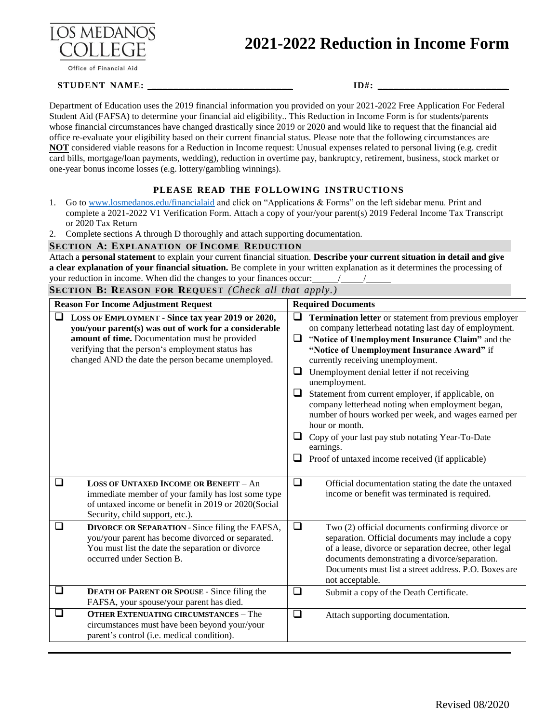

# **2021-2022 Reduction in Income Form**

Office of Financial Aid

#### **STUDENT NAME: \_\_\_\_\_\_\_\_\_\_\_\_\_\_\_\_\_\_\_\_\_\_\_\_\_\_ ID#: \_\_\_\_\_\_\_\_\_\_\_\_\_\_\_\_\_\_\_\_\_\_\_\_**

Department of Education uses the 2019 financial information you provided on your 2021-2022 Free Application For Federal Student Aid (FAFSA) to determine your financial aid eligibility.. This Reduction in Income Form is for students/parents whose financial circumstances have changed drastically since 2019 or 2020 and would like to request that the financial aid office re-evaluate your eligibility based on their current financial status. Please note that the following circumstances are **NOT** considered viable reasons for a Reduction in Income request: Unusual expenses related to personal living (e.g. credit card bills, mortgage/loan payments, wedding), reduction in overtime pay, bankruptcy, retirement, business, stock market or one-year bonus income losses (e.g. lottery/gambling winnings).

### **PLEASE READ THE FOLLOWING INSTRUCTIONS**

- 1. Go to [www.losmedanos.edu/financialaid](http://www.losmedanos.edu/financialaid) and click on "Applications & Forms" on the left sidebar menu. Print and complete a 2021-2022 V1 Verification Form. Attach a copy of your/your parent(s) 2019 Federal Income Tax Transcript or 2020 Tax Return
- 2. Complete sections A through D thoroughly and attach supporting documentation.

### **SECTION A: EXPLANATION OF INCOME REDUCTION**

Attach a **personal statement** to explain your current financial situation. **Describe your current situation in detail and give a clear explanation of your financial situation.** Be complete in your written explanation as it determines the processing of your reduction in income. When did the changes to your finances occur:

**SECTION B: REASON FOR REQUEST** *(Check all that apply.)*

|        | <b>Reason For Income Adjustment Request</b><br><b>Required Documents</b>                                                                                                                                                                                                |                                 |                                                                                                                                                                                                                                                                                                                                                                                                                                                                                                                                                                                                                                    |
|--------|-------------------------------------------------------------------------------------------------------------------------------------------------------------------------------------------------------------------------------------------------------------------------|---------------------------------|------------------------------------------------------------------------------------------------------------------------------------------------------------------------------------------------------------------------------------------------------------------------------------------------------------------------------------------------------------------------------------------------------------------------------------------------------------------------------------------------------------------------------------------------------------------------------------------------------------------------------------|
| ⊔      | LOSS OF EMPLOYMENT - Since tax year 2019 or 2020,<br>you/your parent(s) was out of work for a considerable<br>amount of time. Documentation must be provided<br>verifying that the person's employment status has<br>changed AND the date the person became unemployed. | $\Box$<br>$\Box$<br>⊔<br>⊔<br>⊔ | Termination letter or statement from previous employer<br>on company letterhead notating last day of employment.<br>"Notice of Unemployment Insurance Claim" and the<br>"Notice of Unemployment Insurance Award" if<br>currently receiving unemployment.<br>Unemployment denial letter if not receiving<br>unemployment.<br>Statement from current employer, if applicable, on<br>company letterhead noting when employment began,<br>number of hours worked per week, and wages earned per<br>hour or month.<br>Copy of your last pay stub notating Year-To-Date<br>earnings.<br>Proof of untaxed income received (if applicable) |
| $\Box$ | <b>LOSS OF UNTAXED INCOME OR BENEFIT - An</b><br>immediate member of your family has lost some type<br>of untaxed income or benefit in 2019 or 2020(Social<br>Security, child support, etc.).                                                                           | $\Box$                          | Official documentation stating the date the untaxed<br>income or benefit was terminated is required.                                                                                                                                                                                                                                                                                                                                                                                                                                                                                                                               |
| $\Box$ | <b>DIVORCE OR SEPARATION - Since filing the FAFSA,</b><br>you/your parent has become divorced or separated.<br>You must list the date the separation or divorce<br>occurred under Section B.                                                                            | $\Box$                          | Two (2) official documents confirming divorce or<br>separation. Official documents may include a copy<br>of a lease, divorce or separation decree, other legal<br>documents demonstrating a divorce/separation.<br>Documents must list a street address. P.O. Boxes are<br>not acceptable.                                                                                                                                                                                                                                                                                                                                         |
| $\Box$ | <b>DEATH OF PARENT OR SPOUSE - Since filing the</b><br>FAFSA, your spouse/your parent has died.                                                                                                                                                                         | $\Box$                          | Submit a copy of the Death Certificate.                                                                                                                                                                                                                                                                                                                                                                                                                                                                                                                                                                                            |
| ❏      | <b>OTHER EXTENUATING CIRCUMSTANCES - The</b><br>circumstances must have been beyond your/your<br>parent's control (i.e. medical condition).                                                                                                                             | $\Box$                          | Attach supporting documentation.                                                                                                                                                                                                                                                                                                                                                                                                                                                                                                                                                                                                   |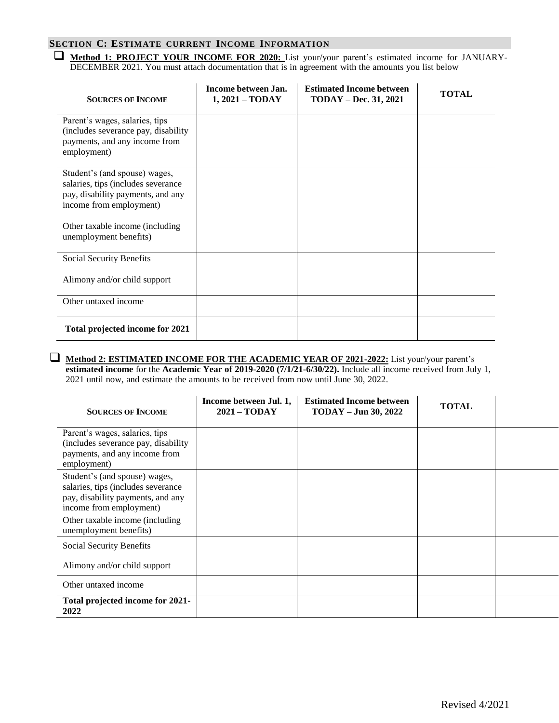## **SECTION C: ESTIMATE CURRENT INCOME INFORMATION**

 **Method 1: PROJECT YOUR INCOME FOR 2020:** List your/your parent's estimated income for JANUARY-DECEMBER 2021. You must attach documentation that is in agreement with the amounts you list below

| <b>SOURCES OF INCOME</b>                                                                                                            | Income between Jan.<br>$1,2021 - TODAY$ | <b>Estimated Income between</b><br><b>TODAY - Dec. 31, 2021</b> | <b>TOTAL</b> |
|-------------------------------------------------------------------------------------------------------------------------------------|-----------------------------------------|-----------------------------------------------------------------|--------------|
| Parent's wages, salaries, tips<br>(includes severance pay, disability)<br>payments, and any income from<br>employment)              |                                         |                                                                 |              |
| Student's (and spouse) wages,<br>salaries, tips (includes severance<br>pay, disability payments, and any<br>income from employment) |                                         |                                                                 |              |
| Other taxable income (including<br>unemployment benefits)                                                                           |                                         |                                                                 |              |
| Social Security Benefits                                                                                                            |                                         |                                                                 |              |
| Alimony and/or child support                                                                                                        |                                         |                                                                 |              |
| Other untaxed income                                                                                                                |                                         |                                                                 |              |
| Total projected income for 2021                                                                                                     |                                         |                                                                 |              |

# **Method 2: ESTIMATED INCOME FOR THE ACADEMIC YEAR OF 2021-2022:** List your/your parent's

**estimated income** for the **Academic Year of 2019-2020 (7/1/21-6/30/22).** Include all income received from July 1, 2021 until now, and estimate the amounts to be received from now until June 30, 2022.

| <b>SOURCES OF INCOME</b>                                                                                                            | Income between Jul. 1,<br>$2021 - TODAY$ | <b>Estimated Income between</b><br><b>TODAY – Jun 30, 2022</b> | <b>TOTAL</b> |  |
|-------------------------------------------------------------------------------------------------------------------------------------|------------------------------------------|----------------------------------------------------------------|--------------|--|
| Parent's wages, salaries, tips<br>(includes severance pay, disability)<br>payments, and any income from<br>employment)              |                                          |                                                                |              |  |
| Student's (and spouse) wages,<br>salaries, tips (includes severance<br>pay, disability payments, and any<br>income from employment) |                                          |                                                                |              |  |
| Other taxable income (including<br>unemployment benefits)                                                                           |                                          |                                                                |              |  |
| Social Security Benefits                                                                                                            |                                          |                                                                |              |  |
| Alimony and/or child support                                                                                                        |                                          |                                                                |              |  |
| Other untaxed income                                                                                                                |                                          |                                                                |              |  |
| Total projected income for 2021-<br>2022                                                                                            |                                          |                                                                |              |  |